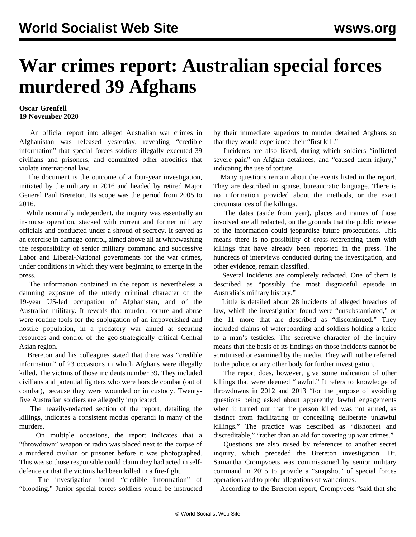## **War crimes report: Australian special forces murdered 39 Afghans**

## **Oscar Grenfell 19 November 2020**

 An official report into alleged Australian war crimes in Afghanistan was released yesterday, revealing "credible information" that special forces soldiers illegally executed 39 civilians and prisoners, and committed other atrocities that violate international law.

 The document is the outcome of a four-year investigation, initiated by the military in 2016 and headed by retired Major General Paul Brereton. Its scope was the period from 2005 to 2016.

 While nominally independent, the inquiry was essentially an in-house operation, stacked with current and former military officials and conducted under a shroud of secrecy. It served as an exercise in damage-control, aimed above all at whitewashing the responsibility of senior military command and successive Labor and Liberal-National governments for the war crimes, under conditions in which they were beginning to emerge in the press.

 The information contained in the report is nevertheless a damning exposure of the utterly criminal character of the 19-year US-led occupation of Afghanistan, and of the Australian military. It reveals that murder, torture and abuse were routine tools for the subjugation of an impoverished and hostile population, in a predatory war aimed at securing resources and control of the geo-strategically critical Central Asian region.

 Brereton and his colleagues stated that there was "credible information" of 23 occasions in which Afghans were illegally killed. The victims of those incidents number 39. They included civilians and potential fighters who were hors de combat (out of combat), because they were wounded or in custody. Twentyfive Australian soldiers are allegedly implicated.

 The heavily-redacted section of the report, detailing the killings, indicates a consistent modus operandi in many of the murders.

 On multiple occasions, the report indicates that a "throwdown" weapon or radio was placed next to the corpse of a murdered civilian or prisoner before it was photographed. This was so those responsible could claim they had acted in selfdefence or that the victims had been killed in a fire-fight.

 The investigation found "credible information" of "blooding." Junior special forces soldiers would be instructed by their immediate superiors to murder detained Afghans so that they would experience their "first kill."

 Incidents are also listed, during which soldiers "inflicted severe pain" on Afghan detainees, and "caused them injury," indicating the use of torture.

 Many questions remain about the events listed in the report. They are described in sparse, bureaucratic language. There is no information provided about the methods, or the exact circumstances of the killings.

 The dates (aside from year), places and names of those involved are all redacted, on the grounds that the public release of the information could jeopardise future prosecutions. This means there is no possibility of cross-referencing them with killings that have already been reported in the press. The hundreds of interviews conducted during the investigation, and other evidence, remain classified.

 Several incidents are completely redacted. One of them is described as "possibly the most disgraceful episode in Australia's military history."

 Little is detailed about 28 incidents of alleged breaches of law, which the investigation found were "unsubstantiated," or the 11 more that are described as "discontinued." They included claims of waterboarding and soldiers holding a knife to a man's testicles. The secretive character of the inquiry means that the basis of its findings on those incidents cannot be scrutinised or examined by the media. They will not be referred to the police, or any other body for further investigation.

 The report does, however, give some indication of other killings that were deemed "lawful." It refers to knowledge of throwdowns in 2012 and 2013 "for the purpose of avoiding questions being asked about apparently lawful engagements when it turned out that the person killed was not armed, as distinct from facilitating or concealing deliberate unlawful killings." The practice was described as "dishonest and discreditable," "rather than an aid for covering up war crimes."

 Questions are also raised by references to another secret inquiry, which preceded the Brereton investigation. Dr. Samantha Crompvoets was commissioned by senior military command in 2015 to provide a "snapshot" of special forces operations and to probe allegations of war crimes.

According to the Brereton report, Crompvoets "said that she